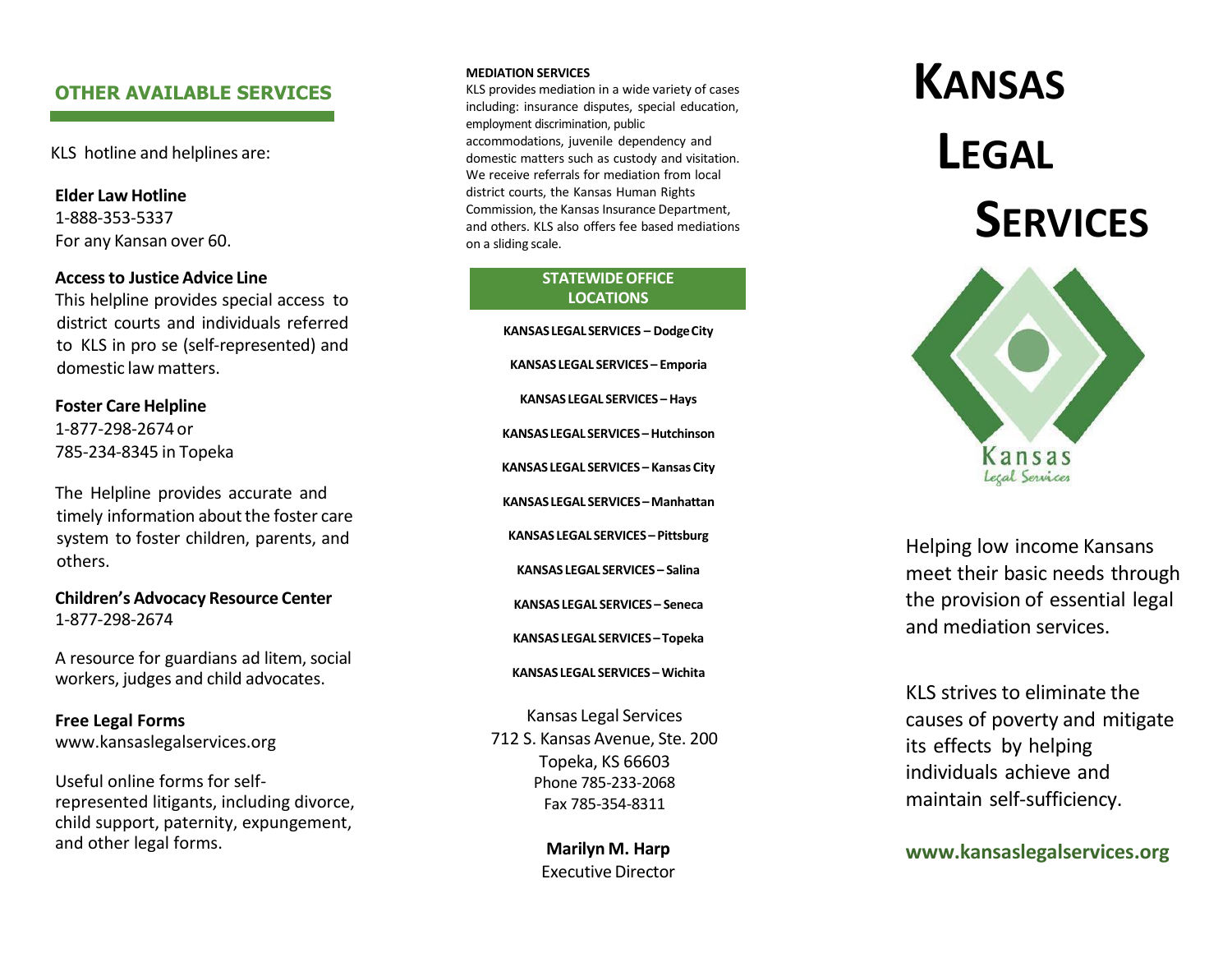## **OTHER AVAILABLE SERVICES**

KLS hotline and helplines are:

**Elder Law Hotline** 1-888-353-5337 For any Kansan over 60.

### **Accessto Justice Advice Line**

This helpline provides special access to district courts and individuals referred to KLS in pro se (self -represented) and domestic law matters.

#### **Foster Care Helpline**

1-877-298-2674 or 785 -234 -8345 in Topeka

The Helpline provide s accurate and timely information about the foster care system to foster children, parents, and others.

**Children's Advocacy Resource Center** 1-877-298-2674

A resource for guardians ad litem, social workers, judges and child advocates.

**Free Legal Forms** www.kansaslegalservices.org

Useful online forms for self represented litigants, including divorce, child support, paternity, expungement, and other legal forms.

#### **MEDIATION SERVICES**

KLS provides mediation in a wide variety of cases including: insurance disputes, special education, employment discrimination, publi c accommodations, juvenile dependency and domestic matters such as custody and visitation. We receive referrals for mediation from local district courts, the Kansas Human Rights Commission, the Kansas Insurance Department, and others. KLS also offers fee based mediations on a sliding scale.

#### **STATEWIDE OFFICE LOCATIONS**

**KANSASLEGALSERVICES – DodgeCity KANSAS LEGAL SERVICES – Emporia KANSAS LEGAL SERVICES –Hays KANSASLEGAL SERVICES –Hutchinson KANSAS LEGAL SERVICES – Kansas City KANSASLEGAL SERVICES –Manhattan KANSAS LEGAL SERVICES – Pittsburg KANSAS LEGAL SERVICES – Salina KANSAS LEGAL SERVICES – Seneca KANSAS LEGAL SERVICES – Topeka KANSAS LEGAL SERVICES – Wichita** Kansas Legal Services

712 S. Kansas Avenue, Ste. 200 Topeka, KS 66603 Phone 785 -233 -2068 Fax 785 -354 -8311

> **Marilyn M. Harp Executive Director**

# **KANSAS LEGAL SERVICES**



Helping low income Kansans meet their basic needs through the provision of essential legal and mediation services.

KLS strives to eliminate the causes of poverty and mitigate its effects by helping individuals achieve and maintain self -sufficiency.

**[www.kansaslegalservices.org](http://www.kansaslegalservices.org/)**